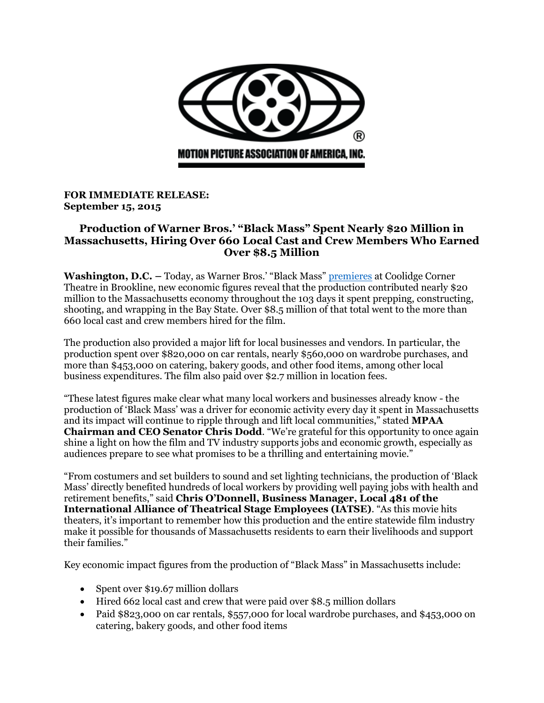

## **FOR IMMEDIATE RELEASE: September 15, 2015**

## **Production of Warner Bros.' "Black Mass" Spent Nearly \$20 Million in Massachusetts, Hiring Over 660 Local Cast and Crew Members Who Earned Over \$8.5 Million**

**Washington, D.C.** – Today, as Warner Bros.' "Black Mass" [premieres](https://www.bostonglobe.com/lifestyle/names/2015/08/31/stars-black-mass-will-attend-coolidge-screening-sept/iW3KUnlv1knZ8hTwoVRn2H/story.html) at Coolidge Corner Theatre in Brookline, new economic figures reveal that the production contributed nearly \$20 million to the Massachusetts economy throughout the 103 days it spent prepping, constructing, shooting, and wrapping in the Bay State. Over \$8.5 million of that total went to the more than 660 local cast and crew members hired for the film.

The production also provided a major lift for local businesses and vendors. In particular, the production spent over \$820,000 on car rentals, nearly \$560,000 on wardrobe purchases, and more than \$453,000 on catering, bakery goods, and other food items, among other local business expenditures. The film also paid over \$2.7 million in location fees.

"These latest figures make clear what many local workers and businesses already know - the production of 'Black Mass' was a driver for economic activity every day it spent in Massachusetts and its impact will continue to ripple through and lift local communities," stated **MPAA Chairman and CEO Senator Chris Dodd**. "We're grateful for this opportunity to once again shine a light on how the film and TV industry supports jobs and economic growth, especially as audiences prepare to see what promises to be a thrilling and entertaining movie."

"From costumers and set builders to sound and set lighting technicians, the production of 'Black Mass' directly benefited hundreds of local workers by providing well paying jobs with health and retirement benefits," said **Chris O'Donnell, Business Manager, Local 481 of the International Alliance of Theatrical Stage Employees (IATSE)**. "As this movie hits theaters, it's important to remember how this production and the entire statewide film industry make it possible for thousands of Massachusetts residents to earn their livelihoods and support their families."

Key economic impact figures from the production of "Black Mass" in Massachusetts include:

- Spent over \$19.67 million dollars
- Hired 662 local cast and crew that were paid over \$8.5 million dollars
- Paid \$823,000 on car rentals, \$557,000 for local wardrobe purchases, and \$453,000 on catering, bakery goods, and other food items